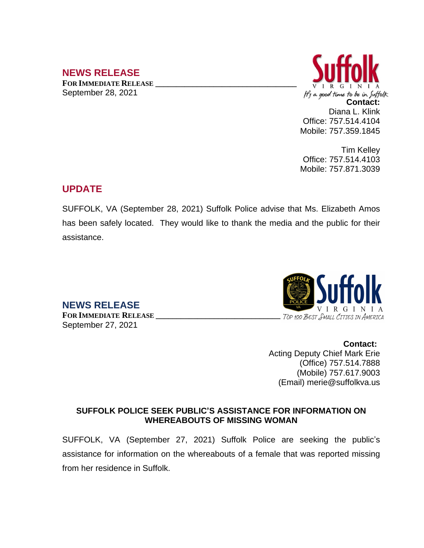## **NEWS RELEASE**

**FOR IMMEDIATE RELEASE \_\_\_\_\_\_\_\_\_\_\_\_\_\_\_\_\_\_\_\_\_\_\_\_\_\_\_\_\_\_\_\_\_\_** September 28, 2021



Tim Kelley Office: 757.514.4103 Mobile: 757.871.3039

## **UPDATE**

SUFFOLK, VA (September 28, 2021) Suffolk Police advise that Ms. Elizabeth Amos has been safely located. They would like to thank the media and the public for their assistance.

**NEWS RELEASE** September 27, 2021

VIRGIN **FOR IMMEDIATE RELEASE \_\_\_\_\_\_\_\_\_\_\_\_\_\_\_\_\_\_\_\_\_\_\_\_\_\_\_\_\_\_**

> **Contact:** Acting Deputy Chief Mark Erie (Office) 757.514.7888 (Mobile) 757.617.9003 (Email) merie@suffolkva.us

## **SUFFOLK POLICE SEEK PUBLIC'S ASSISTANCE FOR INFORMATION ON WHEREABOUTS OF MISSING WOMAN**

SUFFOLK, VA (September 27, 2021) Suffolk Police are seeking the public's assistance for information on the whereabouts of a female that was reported missing from her residence in Suffolk.